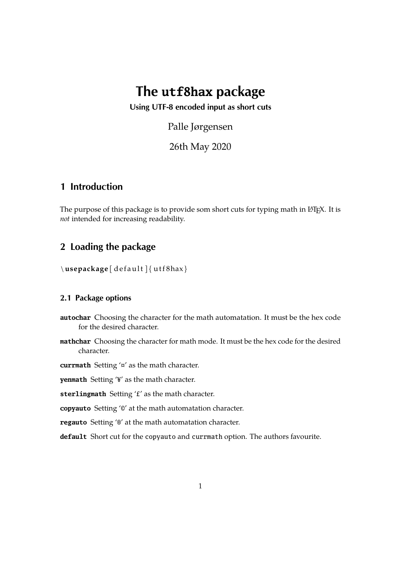# **The utf8hax package**

**Using UTF-8 encoded input as short cuts**

Palle Jørgensen

26th May 2020

### **1 Introduction**

The purpose of this package is to provide som short cuts for typing math in LATEX. It is *not* intended for increasing readability.

### **2 Loading the package**

\usepackage [ default ] { utf8hax }

#### **2.1 Package options**

- **autochar** Choosing the character for the math automatation. It must be the hex code for the desired character.
- **mathchar** Choosing the character for math mode. It must be the hex code for the desired character.

**currmath** Setting '¤' as the math character.

**yenmath** Setting '¥' as the math character.

**sterlingmath** Setting '£' as the math character.

**copyauto** Setting '©' at the math automatation character.

**regauto** Setting '®' at the math automatation character.

**default** Short cut for the copyauto and currmath option. The authors favourite.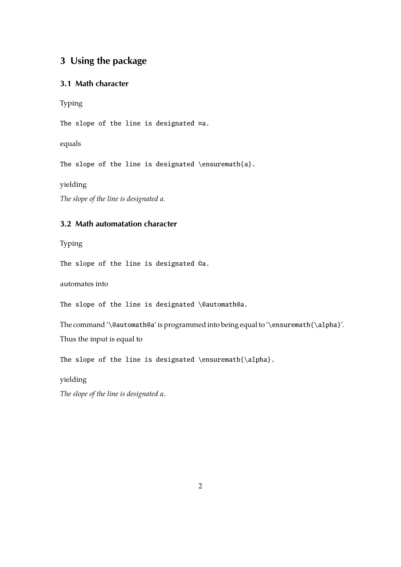### **3 Using the package**

#### **3.1 Math character**

Typing

The slope of the line is designated ¤a.

equals

The slope of the line is designated \ensuremath{a}.

yielding

*The slope of the line is designated a.*

#### **3.2 Math automatation character**

Typing

The slope of the line is designated ©a.

automates into

The slope of the line is designated \@automath@a.

The command '\@automath@a' is programmed into being equal to '\ensuremath{\alpha}'. Thus the input is equal to

The slope of the line is designated \ensuremath{\alpha}.

yielding

*The slope of the line is designated α.*